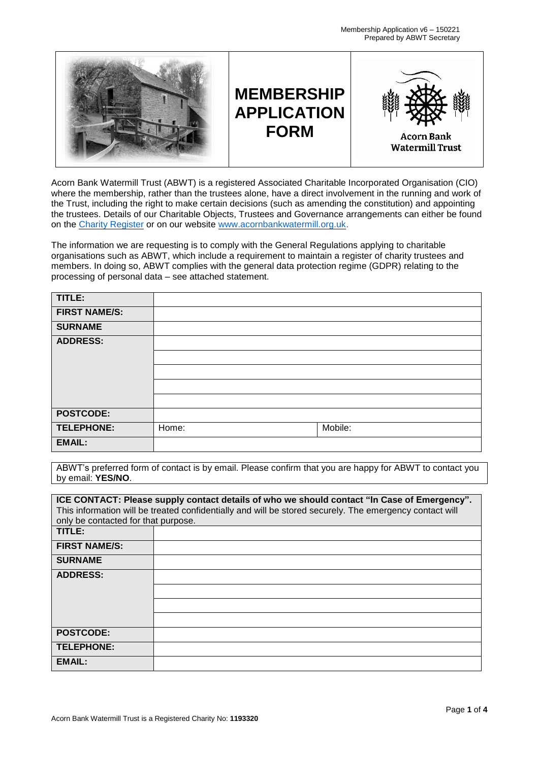

Acorn Bank Watermill Trust (ABWT) is a registered Associated Charitable Incorporated Organisation (CIO) where the membership, rather than the trustees alone, have a direct involvement in the running and work of the Trust, including the right to make certain decisions (such as amending the constitution) and appointing the trustees. Details of our Charitable Objects, Trustees and Governance arrangements can either be found on the Charity [Register](https://www.gov.uk/find-charity-information) or on our website [www.acornbankwatermill.org.uk.](http://www.acornbankwatermill.org.uk/)

The information we are requesting is to comply with the General Regulations applying to charitable organisations such as ABWT, which include a requirement to maintain a register of charity trustees and members. In doing so, ABWT complies with the general data protection regime (GDPR) relating to the processing of personal data – see attached statement.

| TITLE:               |       |         |
|----------------------|-------|---------|
| <b>FIRST NAME/S:</b> |       |         |
| <b>SURNAME</b>       |       |         |
| <b>ADDRESS:</b>      |       |         |
|                      |       |         |
|                      |       |         |
|                      |       |         |
|                      |       |         |
| <b>POSTCODE:</b>     |       |         |
| TELEPHONE:           | Home: | Mobile: |
| <b>EMAIL:</b>        |       |         |

ABWT's preferred form of contact is by email. Please confirm that you are happy for ABWT to contact you by email: **YES/NO**.

| ICE CONTACT: Please supply contact details of who we should contact "In Case of Emergency". |                                                                                                         |  |  |
|---------------------------------------------------------------------------------------------|---------------------------------------------------------------------------------------------------------|--|--|
|                                                                                             | This information will be treated confidentially and will be stored securely. The emergency contact will |  |  |
|                                                                                             |                                                                                                         |  |  |
| only be contacted for that purpose.                                                         |                                                                                                         |  |  |
| TITLE:                                                                                      |                                                                                                         |  |  |
| <b>FIRST NAME/S:</b>                                                                        |                                                                                                         |  |  |
| <b>SURNAME</b>                                                                              |                                                                                                         |  |  |
| <b>ADDRESS:</b>                                                                             |                                                                                                         |  |  |
|                                                                                             |                                                                                                         |  |  |
|                                                                                             |                                                                                                         |  |  |
|                                                                                             |                                                                                                         |  |  |
|                                                                                             |                                                                                                         |  |  |
| <b>POSTCODE:</b>                                                                            |                                                                                                         |  |  |
|                                                                                             |                                                                                                         |  |  |
| <b>TELEPHONE:</b>                                                                           |                                                                                                         |  |  |
| <b>EMAIL:</b>                                                                               |                                                                                                         |  |  |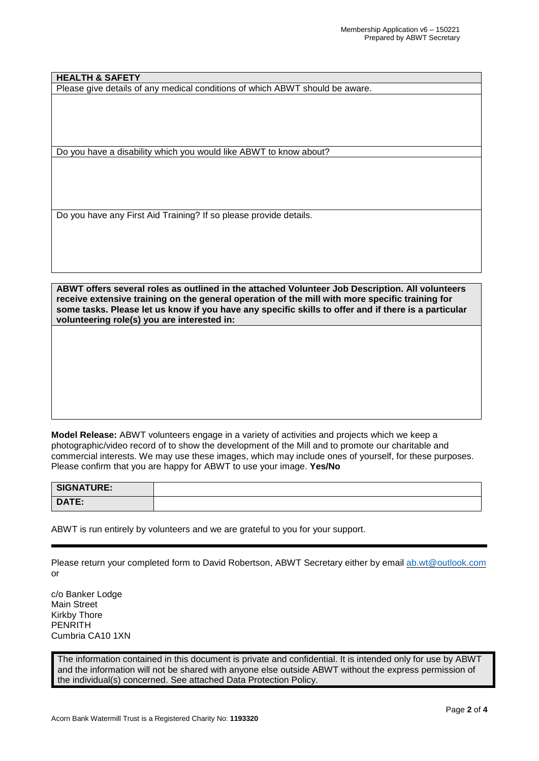**HEALTH & SAFETY**

Please give details of any medical conditions of which ABWT should be aware.

Do you have a disability which you would like ABWT to know about?

Do you have any First Aid Training? If so please provide details.

**ABWT offers several roles as outlined in the attached Volunteer Job Description. All volunteers receive extensive training on the general operation of the mill with more specific training for** some tasks. Please let us know if you have any specific skills to offer and if there is a particular **volunteering role(s) you are interested in:**

**Model Release:** ABWT volunteers engage in a variety of activities and projects which we keep a photographic/video record of to show the development of the Mill and to promote our charitable and commercial interests. We may use these images, which may include ones of yourself, for these purposes. Please confirm that you are happy for ABWT to use your image. **Yes/No**

| SIGNATURE: |  |
|------------|--|
| DATE:      |  |

ABWT is run entirely by volunteers and we are grateful to you for your support.

Please return your completed form to David Robertson, ABWT Secretary either by email [ab.wt@outlook.com](mailto:ab.wt@outlook.com) or

c/o Banker Lodge Main Street Kirkby Thore PENRITH Cumbria CA10 1XN

The information contained in this document is private and confidential. It is intended only for use by ABWT and the information will not be shared with anyone else outside ABWT without the express permission of the individual(s) concerned. See attached Data Protection Policy.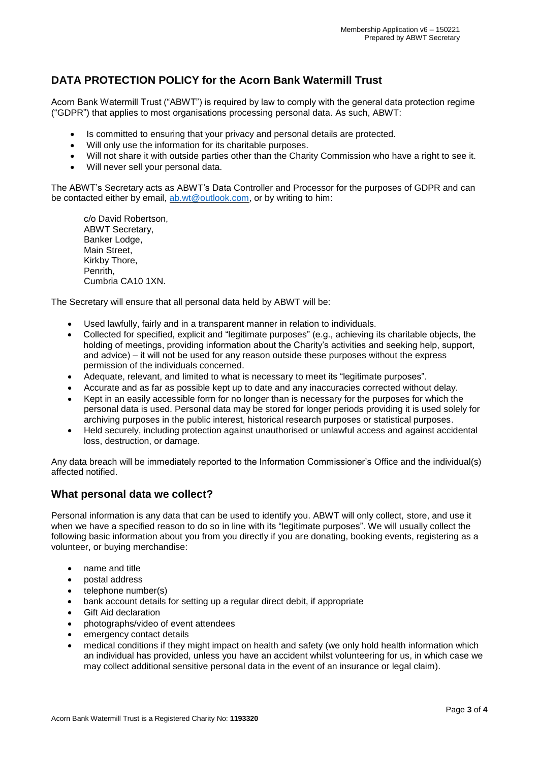## **DATA PROTECTION POLICY for the Acorn Bank Watermill Trust**

Acorn Bank Watermill Trust ("ABWT") is required by law to comply with the general data protection regime ("GDPR") that applies to most organisations processing personal data. As such, ABWT:

- Is committed to ensuring that your privacy and personal details are protected.
- Will only use the information for its charitable purposes.
- Will not share it with outside parties other than the Charity Commission who have a right to see it.
- Will never sell your personal data.

The ABWT's Secretary acts as ABWT's Data Controller and Processor for the purposes of GDPR and can be contacted either by email, [ab.wt@outlook.com,](mailto:bluerobbo@aol.com) or by writing to him:

c/o David Robertson, ABWT Secretary, Banker Lodge, Main Street, Kirkby Thore, Penrith, Cumbria CA10 1XN.

The Secretary will ensure that all personal data held by ABWT will be:

- Used lawfully, fairly and in a transparent manner in relation to individuals.
- Collected for specified, explicit and "legitimate purposes" (e.g., achieving its charitable objects, the holding of meetings, providing information about the Charity's activities and seeking help, support, and advice) – it will not be used for any reason outside these purposes without the express permission of the individuals concerned.
- Adequate, relevant, and limited to what is necessary to meet its "legitimate purposes".
- Accurate and as far as possible kept up to date and any inaccuracies corrected without delay.
- Kept in an easily accessible form for no longer than is necessary for the purposes for which the personal data is used. Personal data may be stored for longer periods providing it is used solely for archiving purposes in the public interest, historical research purposes or statistical purposes.
- Held securely, including protection against unauthorised or unlawful access and against accidental loss, destruction, or damage.

Any data breach will be immediately reported to the Information Commissioner's Office and the individual(s) affected notified.

## **What personal data we collect?**

Personal information is any data that can be used to identify you. ABWT will only collect, store, and use it when we have a specified reason to do so in line with its "legitimate purposes". We will usually collect the following basic information about you from you directly if you are donating, booking events, registering as a volunteer, or buying merchandise:

- name and title
- postal address
- telephone number(s)
- bank account details for setting up a regular direct debit, if appropriate
- Gift Aid declaration
- photographs/video of event attendees
- emergency contact details
- medical conditions if they might impact on health and safety (we only hold health information which an individual has provided, unless you have an accident whilst volunteering for us, in which case we may collect additional sensitive personal data in the event of an insurance or legal claim).